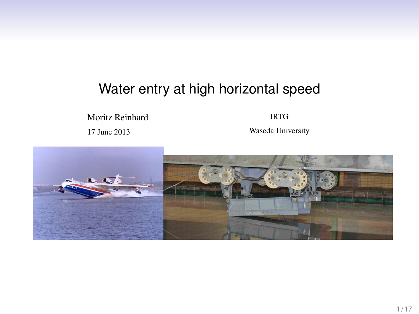# Water entry at high horizontal speed

Moritz Reinhard

17 June 2013

IRTG

Waseda University

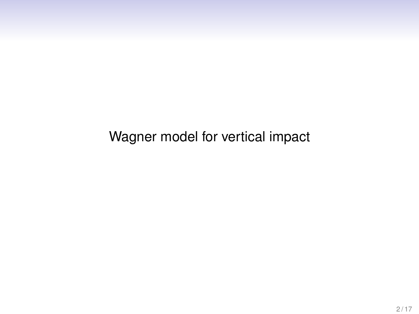Wagner model for vertical impact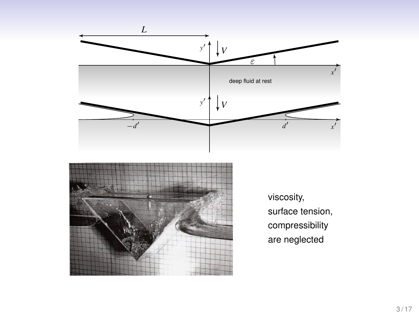



viscosity, surface tension, compressibility are neglected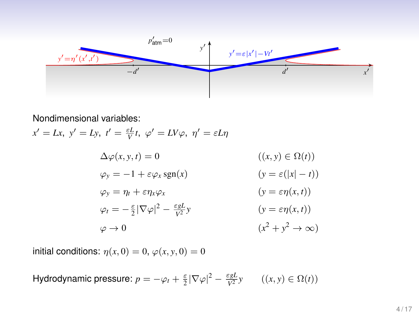

Nondimensional variables:

 $x' = Lx$ ,  $y' = Ly$ ,  $t' = \frac{\varepsilon L}{V}t$ ,  $\varphi' = LV\varphi$ ,  $\eta' = \varepsilon L\eta$ 

$$
\Delta \varphi(x, y, t) = 0 \qquad ((x, y) \in \Omega(t))
$$
  
\n
$$
\varphi_y = -1 + \varepsilon \varphi_x \operatorname{sgn}(x) \qquad (y = \varepsilon(|x| - t))
$$
  
\n
$$
\varphi_y = \eta_t + \varepsilon \eta_x \varphi_x \qquad (y = \varepsilon \eta(x, t))
$$
  
\n
$$
\varphi_t = -\frac{\varepsilon}{2} |\nabla \varphi|^2 - \frac{\varepsilon gL}{V^2} y \qquad (y = \varepsilon \eta(x, t))
$$
  
\n
$$
\varphi \to 0 \qquad (x^2 + y^2 \to \infty)
$$

initial conditions:  $\eta(x, 0) = 0$ ,  $\varphi(x, y, 0) = 0$ 

Hydrodynamic pressure:  $p = -\varphi_t + \frac{\varepsilon}{2} |\nabla \varphi|^2 - \frac{\varepsilon g L}{V^2}$  $((x, y) \in \Omega(t))$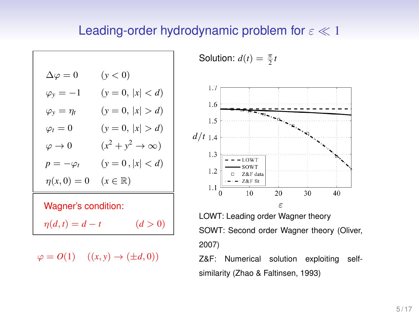### Leading-order hydrodynamic problem for  $\varepsilon \ll 1$

$$
\Delta \varphi = 0 \qquad (y < 0)
$$
\n
$$
\varphi_y = -1 \qquad (y = 0, |x| < d)
$$
\n
$$
\varphi_y = \eta_t \qquad (y = 0, |x| > d)
$$
\n
$$
\varphi_t = 0 \qquad (y = 0, |x| > d)
$$
\n
$$
\varphi \to 0 \qquad (x^2 + y^2 \to \infty)
$$
\n
$$
p = -\varphi_t \qquad (y = 0, |x| < d)
$$
\n
$$
\eta(x, 0) = 0 \qquad (x \in \mathbb{R})
$$

Wagner's condition:

 $\eta(d, t) = d - t$  (*d* > 0)

$$
\varphi = O(1) \quad ((x, y) \to (\pm d, 0))
$$

Solution:  $d(t) = \frac{\pi}{2}t$ 



LOWT: Leading order Wagner theory SOWT: Second order Wagner theory (Oliver, 2007)

Z&F: Numerical solution exploiting selfsimilarity (Zhao & Faltinsen, 1993)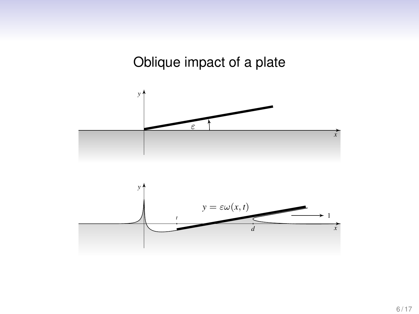# Oblique impact of a plate

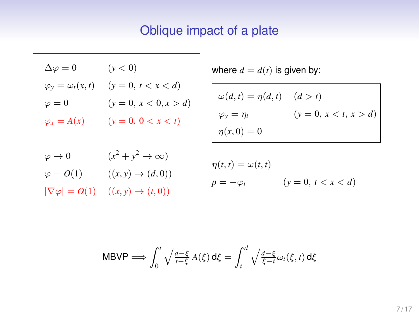## Oblique impact of a plate

$$
\Delta \varphi = 0 \qquad (y < 0)
$$
\n
$$
\varphi_y = \omega_t(x, t) \qquad (y = 0, t < x < d)
$$
\n
$$
\varphi = 0 \qquad (y = 0, x < 0, x > d)
$$
\n
$$
\varphi_x = A(x) \qquad (y = 0, 0 < x < t)
$$
\n
$$
\varphi \to 0 \qquad (x^2 + y^2 \to \infty)
$$
\n
$$
\varphi = O(1) \qquad ((x, y) \to (d, 0))
$$
\n
$$
|\nabla \varphi| = O(1) \qquad ((x, y) \to (t, 0))
$$

where  $d = d(t)$  is given by:

$$
\begin{aligned}\n\omega(d, t) &= \eta(d, t) & (d > t) \\
\varphi_y &= \eta_t & (y = 0, x < t, x > d) \\
\eta(x, 0) &= 0\n\end{aligned}
$$

$$
\eta(t, t) = \omega(t, t)
$$
  
 
$$
p = -\varphi_t \qquad (y = 0, t < x < d)
$$

$$
\mathsf{MBVP} \Longrightarrow \int_0^t \sqrt{\tfrac{d-\xi}{t-\xi}} \, A(\xi) \, \mathsf{d}\xi = \int_t^d \sqrt{\tfrac{d-\xi}{\xi-t}} \omega_t(\xi,t) \, \mathsf{d}\xi
$$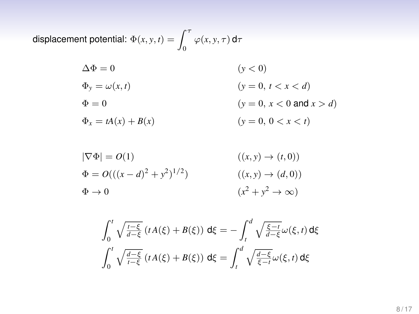displacement potential:  $\Phi(x, y, t) = \int_0^{\tau} \varphi(x, y, \tau) d\tau$ 

 $\Delta \Phi = 0$  (*y* < 0)  $\Phi_y = \omega(x, t)$  (*y* = 0, *t* < *x* < *d*)  $\Phi = 0$  (*y* = 0, *x* < 0 and *x* > *d*)  $\Phi_x = tA(x) + B(x)$  (*y* = 0, 0 < *x* < *t*)

$$
|\nabla \Phi| = O(1)
$$
  
\n
$$
\Phi = O(((x-d)^2 + y^2)^{1/2})
$$
  
\n
$$
(\mathbf{x}, \mathbf{y}) \to (t, 0))
$$
  
\n
$$
(\mathbf{x}, \mathbf{y}) \to (d, 0))
$$
  
\n
$$
\Phi \to 0
$$
  
\n
$$
(\mathbf{x}^2 + \mathbf{y}^2 \to \infty)
$$

$$
\int_0^t \sqrt{\frac{t-\xi}{d-\xi}} \left( tA(\xi) + B(\xi) \right) d\xi = -\int_t^d \sqrt{\frac{\xi-t}{d-\xi}} \omega(\xi, t) d\xi
$$

$$
\int_0^t \sqrt{\frac{d-\xi}{d-\xi}} \left( tA(\xi) + B(\xi) \right) d\xi = \int_t^d \sqrt{\frac{d-\xi}{d-\xi}} \omega(\xi, t) d\xi
$$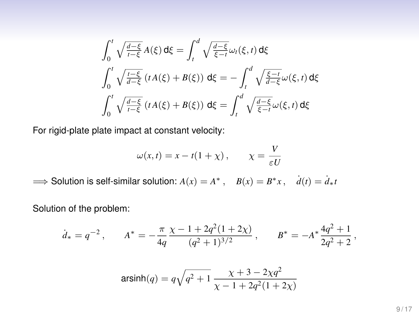$$
\int_0^t \sqrt{\frac{d-\xi}{t-\xi}} A(\xi) d\xi = \int_t^d \sqrt{\frac{d-\xi}{\xi-t}} \omega_t(\xi, t) d\xi
$$

$$
\int_0^t \sqrt{\frac{d-\xi}{d-\xi}} (tA(\xi) + B(\xi)) d\xi = -\int_t^d \sqrt{\frac{\xi-t}{d-\xi}} \omega(\xi, t) d\xi
$$

$$
\int_0^t \sqrt{\frac{d-\xi}{t-\xi}} (tA(\xi) + B(\xi)) d\xi = \int_t^d \sqrt{\frac{d-\xi}{\xi-t}} \omega(\xi, t) d\xi
$$

For rigid-plate plate impact at constant velocity:

$$
\omega(x,t) = x - t(1+\chi), \qquad \chi = \frac{V}{\varepsilon U}
$$

 $\implies$  Solution is self-similar solution:  $A(x) = A^*$ ,  $B(x) = B^*x$ ,  $d(t) = d_*t$ 

Solution of the problem:

$$
\dot{d}_* = q^{-2}, \qquad A^* = -\frac{\pi}{4q} \frac{\chi - 1 + 2q^2(1+2\chi)}{(q^2+1)^{3/2}}, \qquad B^* = -A^* \frac{4q^2+1}{2q^2+2},
$$

$$
\text{arsinh}(q) = q\sqrt{q^2 + 1} \frac{\chi + 3 - 2\chi q^2}{\chi - 1 + 2q^2(1 + 2\chi)}
$$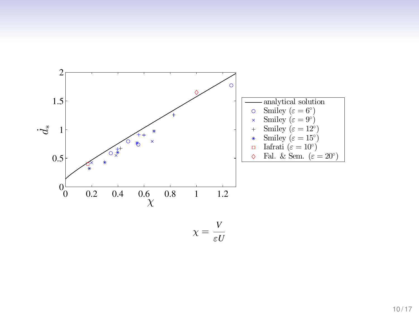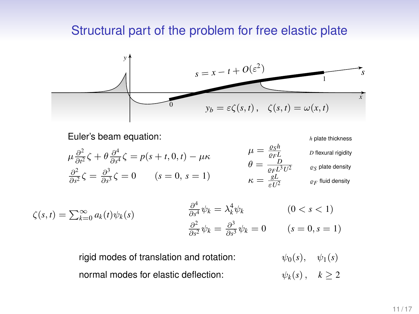#### Structural part of the problem for free elastic plate



Euler's beam equation:

*h* plate thickness

 $\mu \frac{\partial^2}{\partial x^2}$  $\frac{\partial^2}{\partial t^2}\zeta + \theta \frac{\partial^4}{\partial s^2}$  $\frac{\partial}{\partial s^4} \zeta = p(s+t,0,t) - \mu \kappa$  $\partial^2$  $\frac{\partial^2}{\partial s^2}\zeta=\frac{\partial^3}{\partial s^2}$  $\frac{\partial^2}{\partial s^3}\zeta = 0$  (*s* = 0, *s* = 1)  $\mu = \frac{\varrho_S h}{\varrho_F L}$  $\theta = \frac{D}{\varrho_F L^3 U^2}$  $\kappa = \frac{gL}{\varepsilon U^2}$ *D* flexural rigidity  $\varrho_S$  plate density  $\varrho_F$  fluid density

$$
\zeta(s,t) = \sum_{k=0}^{\infty} a_k(t)\psi_k(s) \qquad \frac{\partial^4}{\partial s^4}\psi_k = \lambda_k^4\psi_k \qquad (0 < s < 1) \\
\frac{\partial^2}{\partial s^2}\psi_k = \frac{\partial^3}{\partial s^3}\psi_k = 0 \qquad (s = 0, s = 1)
$$

rigid modes of translation and rotation:  $\psi_0(s)$ ,  $\psi_1(s)$ normal modes for elastic deflection:  $\psi_k(s)$ ,  $k > 2$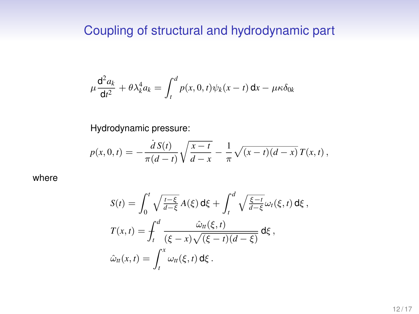### Coupling of structural and hydrodynamic part

$$
\mu \frac{d^2 a_k}{dt^2} + \theta \lambda_k^4 a_k = \int_t^d p(x, 0, t) \psi_k(x - t) dx - \mu \kappa \delta_{0k}
$$

Hydrodynamic pressure:

$$
p(x, 0, t) = -\frac{\dot{d} S(t)}{\pi(d-t)} \sqrt{\frac{x-t}{d-x}} - \frac{1}{\pi} \sqrt{(x-t)(d-x)} T(x, t),
$$

where

$$
S(t) = \int_0^t \sqrt{\frac{t-\xi}{d-\xi}} A(\xi) d\xi + \int_t^d \sqrt{\frac{\xi-t}{d-\xi}} \omega_t(\xi, t) d\xi,
$$
  
\n
$$
T(x, t) = \int_t^d \frac{\hat{\omega}_t(\xi, t)}{(\xi - x)\sqrt{(\xi - t)(d - \xi)}} d\xi,
$$
  
\n
$$
\hat{\omega}_t(x, t) = \int_t^x \omega_t(\xi, t) d\xi.
$$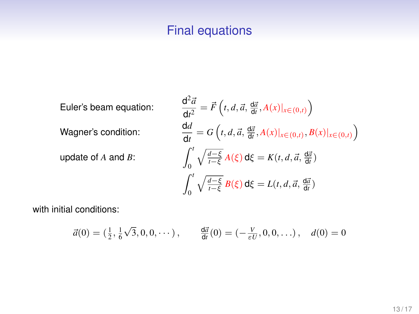#### Final equations

Euler's beam equation:

Wagner's condition:

update of *A* and *B*:

$$
\frac{d^2 \vec{a}}{dt^2} = \vec{F}\left(t, d, \vec{a}, \frac{d\vec{a}}{dt}, A(x)|_{x \in (0, t)}\right)
$$
\n
$$
\frac{dd}{dt} = G\left(t, d, \vec{a}, \frac{d\vec{a}}{dt}, A(x)|_{x \in (0, t)}, B(x)|_{x \in (0, t)}\right)
$$
\n
$$
\int_0^t \sqrt{\frac{d-\xi}{t-\xi}} A(\xi) d\xi = K(t, d, \vec{a}, \frac{d\vec{a}}{dt})
$$
\n
$$
\int_0^t \sqrt{\frac{d-\xi}{t-\xi}} B(\xi) d\xi = L(t, d, \vec{a}, \frac{d\vec{a}}{dt})
$$

with initial conditions:

$$
\vec{a}(0) = (\frac{1}{2}, \frac{1}{6}\sqrt{3}, 0, 0, \cdots), \qquad \frac{d\vec{a}}{dt}(0) = (-\frac{V}{\varepsilon U}, 0, 0, \ldots), \quad d(0) = 0
$$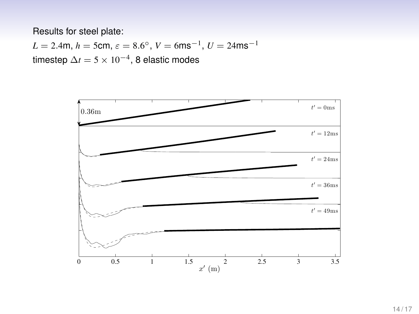Results for steel plate:

$$
L = 2.4 \text{m}, h = 5 \text{cm}, \varepsilon = 8.6^{\circ}, V = 6 \text{m} \text{s}^{-1}, U = 24 \text{m} \text{s}^{-1}
$$

timestep  $\Delta t = 5 \times 10^{-4},$  8 elastic modes

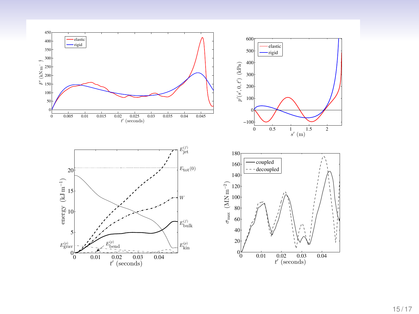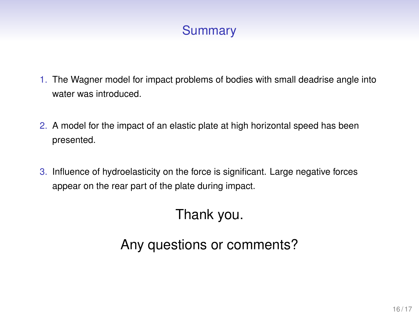### **Summary**

- 1. The Wagner model for impact problems of bodies with small deadrise angle into water was introduced.
- 2. A model for the impact of an elastic plate at high horizontal speed has been presented.
- 3. Influence of hydroelasticity on the force is significant. Large negative forces appear on the rear part of the plate during impact.

# Thank you.

# Any questions or comments?